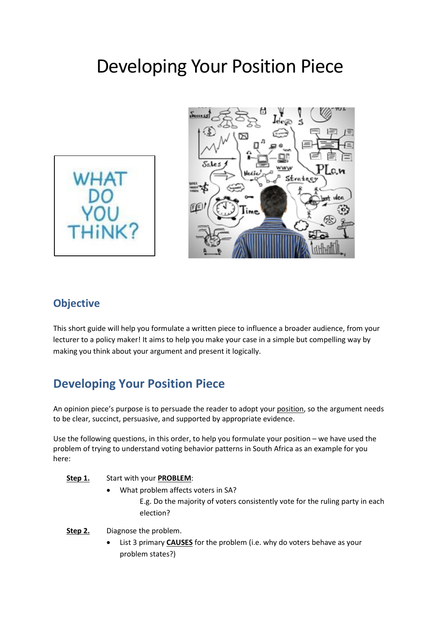# Developing Your Position Piece





### **Objective**

This short guide will help you formulate a written piece to influence a broader audience, from your lecturer to a policy maker! It aims to help you make your case in a simple but compelling way by making you think about your argument and present it logically.

## **Developing Your Position Piece**

An opinion piece's purpose is to persuade the reader to adopt your position, so the argument needs to be clear, succinct, persuasive, and supported by appropriate evidence.

Use the following questions, in this order, to help you formulate your position – we have used the problem of trying to understand voting behavior patterns in South Africa as an example for you here:

#### **Step 1.** Start with your **PROBLEM**:

- What problem affects voters in SA? E.g. Do the majority of voters consistently vote for the ruling party in each election?
- **Step 2.** Diagnose the problem.
	- List 3 primary **CAUSES** for the problem (i.e. why do voters behave as your problem states?)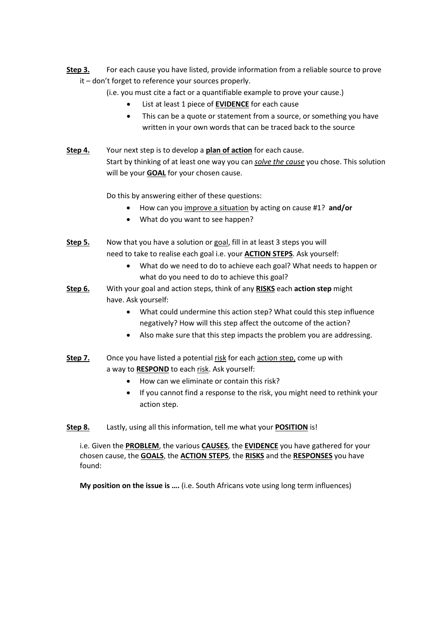**Step 3.** For each cause you have listed, provide information from a reliable source to prove it – don't forget to reference your sources properly.

(i.e. you must cite a fact or a quantifiable example to prove your cause.)

- List at least 1 piece of **EVIDENCE** for each cause
- This can be a quote or statement from a source, or something you have written in your own words that can be traced back to the source
- **Step 4.** Your next step is to develop a **plan of action** for each cause. Start by thinking of at least one way you can *solve the cause* you chose. This solution will be your **GOAL** for your chosen cause.

Do this by answering either of these questions:

- How can you improve a situation by acting on cause #1? **and/or**
- What do you want to see happen?
- **Step 5.** Now that you have a solution or goal, fill in at least 3 steps you will need to take to realise each goal i.e. your **ACTION STEPS**. Ask yourself:
	- What do we need to do to achieve each goal? What needs to happen or what do you need to do to achieve this goal?
- **Step 6.** With your goal and action steps, think of any **RISKS** each **action step** might have. Ask yourself:
	- What could undermine this action step? What could this step influence negatively? How will this step affect the outcome of the action?
	- Also make sure that this step impacts the problem you are addressing.
- **Step 7.** Once you have listed a potential risk for each action step, come up with a way to **RESPOND** to each risk. Ask yourself:
	- How can we eliminate or contain this risk?
	- If you cannot find a response to the risk, you might need to rethink your action step.

#### **Step 8.** Lastly, using all this information, tell me what your **POSITION** is!

i.e. Given the **PROBLEM**, the various **CAUSES**, the **EVIDENCE** you have gathered for your chosen cause, the **GOALS**, the **ACTION STEPS**, the **RISKS** and the **RESPONSES** you have found:

**My position on the issue is ….** (i.e. South Africans vote using long term influences)